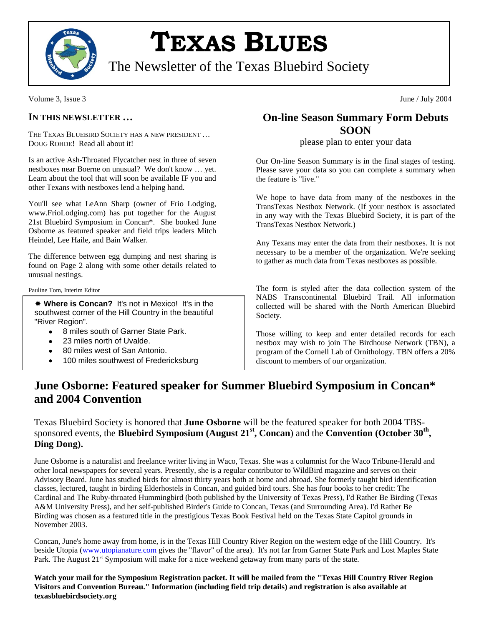

# **TEXAS BLUES**

The Newsletter of the Texas Bluebird Society

Volume 3, Issue 3 June / July 2004

#### **IN THIS NEWSLETTER …**

THE TEXAS BLUEBIRD SOCIETY HAS A NEW PRESIDENT … DOUG ROHDE! Read all about it!

Is an active Ash-Throated Flycatcher nest in three of seven nestboxes near Boerne on unusual? We don't know … yet. Learn about the tool that will soon be available IF you and other Texans with nestboxes lend a helping hand.

You'll see what LeAnn Sharp (owner of Frio Lodging, www.FrioLodging.com) has put together for the August 21st Bluebird Symposium in Concan\*. She booked June Osborne as featured speaker and field trips leaders Mitch Heindel, Lee Haile, and Bain Walker.

The difference between egg dumping and nest sharing is found on Page 2 along with some other details related to unusual nestings.

Pauline Tom, Interim Editor

 **Where is Concan?** It's not in Mexico! It's in the southwest corner of the Hill Country in the beautiful "River Region".

- 8 miles south of Garner State Park.
- 23 miles north of Uvalde.
- 80 miles west of San Antonio.
- 100 miles southwest of Fredericksburg

## **On-line Season Summary Form Debuts SOON**

#### please plan to enter your data

Our On-line Season Summary is in the final stages of testing. Please save your data so you can complete a summary when the feature is "live."

We hope to have data from many of the nestboxes in the TransTexas Nestbox Network. (If your nestbox is associated in any way with the Texas Bluebird Society, it is part of the TransTexas Nestbox Network.)

Any Texans may enter the data from their nestboxes. It is not necessary to be a member of the organization. We're seeking to gather as much data from Texas nestboxes as possible.

The form is styled after the data collection system of the NABS Transcontinental Bluebird Trail. All information collected will be shared with the North American Bluebird Society.

Those willing to keep and enter detailed records for each nestbox may wish to join The Birdhouse Network (TBN), a program of the Cornell Lab of Ornithology. TBN offers a 20% discount to members of our organization.

# **June Osborne: Featured speaker for Summer Bluebird Symposium in Concan\* and 2004 Convention**

Texas Bluebird Society is honored that **June Osborne** will be the featured speaker for both 2004 TBSsponsored events, the **Bluebird Symposium (August 21st, Concan**) and the **Convention (October 30th, Ding Dong).** 

June Osborne is a naturalist and freelance writer living in Waco, Texas. She was a columnist for the Waco Tribune-Herald and other local newspapers for several years. Presently, she is a regular contributor to WildBird magazine and serves on their Advisory Board. June has studied birds for almost thirty years both at home and abroad. She formerly taught bird identification classes, lectured, taught in birding Elderhostels in Concan, and guided bird tours. She has four books to her credit: The Cardinal and The Ruby-throated Hummingbird (both published by the University of Texas Press), I'd Rather Be Birding (Texas A&M University Press), and her self-published Birder's Guide to Concan, Texas (and Surrounding Area). I'd Rather Be Birding was chosen as a featured title in the prestigious Texas Book Festival held on the Texas State Capitol grounds in November 2003.

Concan, June's home away from home, is in the Texas Hill Country River Region on the western edge of the Hill Country. It's beside Utopia [\(www.utopianature.com](http://www.utopianature.com/) gives the "flavor" of the area). It's not far from Garner State Park and Lost Maples State Park. The August 21<sup>st</sup> Symposium will make for a nice weekend getaway from many parts of the state.

**Watch your mail for the Symposium Registration packet. It will be mailed from the "Texas Hill Country River Region Visitors and Convention Bureau." Information (including field trip details) and registration is also available at texasbluebirdsociety.org**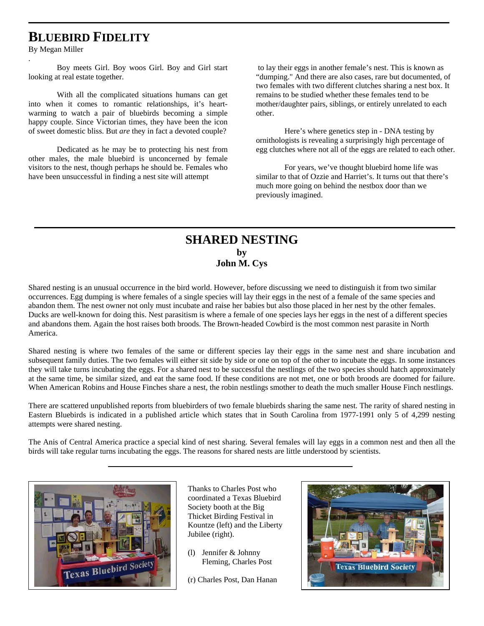# **BLUEBIRD FIDELITY**

By Megan Miller

.

Boy meets Girl. Boy woos Girl. Boy and Girl start looking at real estate together.

With all the complicated situations humans can get into when it comes to romantic relationships, it's heartwarming to watch a pair of bluebirds becoming a simple happy couple. Since Victorian times, they have been the icon of sweet domestic bliss. But *are* they in fact a devoted couple?

Dedicated as he may be to protecting his nest from other males, the male bluebird is unconcerned by female visitors to the nest, though perhaps he should be. Females who have been unsuccessful in finding a nest site will attempt

 to lay their eggs in another female's nest. This is known as "dumping." And there are also cases, rare but documented, of two females with two different clutches sharing a nest box. It remains to be studied whether these females tend to be mother/daughter pairs, siblings, or entirely unrelated to each other.

Here's where genetics step in - DNA testing by ornithologists is revealing a surprisingly high percentage of egg clutches where not all of the eggs are related to each other.

For years, we've thought bluebird home life was similar to that of Ozzie and Harriet's. It turns out that there's much more going on behind the nestbox door than we previously imagined.

### **SHARED NESTING by John M. Cys**

Shared nesting is an unusual occurrence in the bird world. However, before discussing we need to distinguish it from two similar occurrences. Egg dumping is where females of a single species will lay their eggs in the nest of a female of the same species and abandon them. The nest owner not only must incubate and raise her babies but also those placed in her nest by the other females. Ducks are well-known for doing this. Nest parasitism is where a female of one species lays her eggs in the nest of a different species and abandons them. Again the host raises both broods. The Brown-headed Cowbird is the most common nest parasite in North America.

Shared nesting is where two females of the same or different species lay their eggs in the same nest and share incubation and subsequent family duties. The two females will either sit side by side or one on top of the other to incubate the eggs. In some instances they will take turns incubating the eggs. For a shared nest to be successful the nestlings of the two species should hatch approximately at the same time, be similar sized, and eat the same food. If these conditions are not met, one or both broods are doomed for failure. When American Robins and House Finches share a nest, the robin nestlings smother to death the much smaller House Finch nestlings.

There are scattered unpublished reports from bluebirders of two female bluebirds sharing the same nest. The rarity of shared nesting in Eastern Bluebirds is indicated in a published article which states that in South Carolina from 1977-1991 only 5 of 4,299 nesting attempts were shared nesting.

The Anis of Central America practice a special kind of nest sharing. Several females will lay eggs in a common nest and then all the birds will take regular turns incubating the eggs. The reasons for shared nests are little understood by scientists.



Thanks to Charles Post who coordinated a Texas Bluebird Society booth at the Big Thicket Birding Festival in Kountze (left) and the Liberty Jubilee (right).

- (l) Jennifer & Johnny Fleming, Charles Post
- (r) Charles Post, Dan Hanan

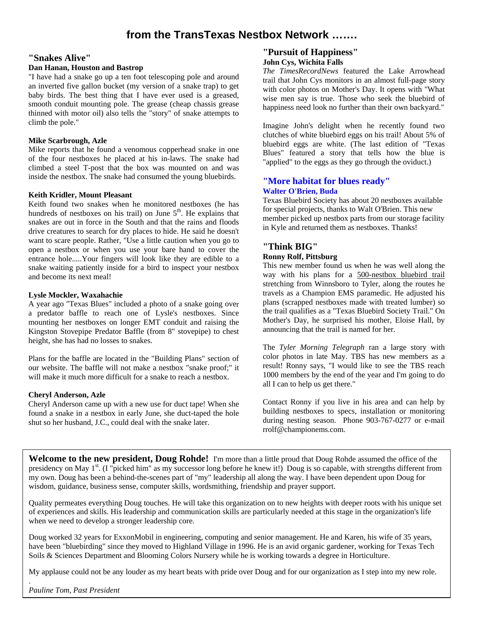# **from the TransTexas Nestbox Network …….**

#### **"Snakes Alive"**

#### **Dan Hanan, Houston and Bastrop**

"I have had a snake go up a ten foot telescoping pole and around an inverted five gallon bucket (my version of a snake trap) to get baby birds. The best thing that I have ever used is a greased, smooth conduit mounting pole. The grease (cheap chassis grease thinned with motor oil) also tells the "story" of snake attempts to climb the pole."

#### **Mike Scarbrough, Azle**

Mike reports that he found a venomous copperhead snake in one of the four nestboxes he placed at his in-laws. The snake had climbed a steel T-post that the box was mounted on and was inside the nestbox. The snake had consumed the young bluebirds.

#### **Keith Kridler, Mount Pleasant**

Keith found two snakes when he monitored nestboxes (he has hundreds of nestboxes on his trail) on June  $5<sup>th</sup>$ . He explains that snakes are out in force in the South and that the rains and floods drive creatures to search for dry places to hide. He said he doesn't want to scare people. Rather, "Use a little caution when you go to open a nestbox or when you use your bare hand to cover the entrance hole.....Your fingers will look like they are edible to a snake waiting patiently inside for a bird to inspect your nestbox and become its next meal!

#### **Lysle Mockler, Waxahachie**

A year ago "Texas Blues" included a photo of a snake going over a predator baffle to reach one of Lysle's nestboxes. Since mounting her nestboxes on longer EMT conduit and raising the Kingston Stovepipe Predator Baffle (from 8" stovepipe) to chest height, she has had no losses to snakes.

Plans for the baffle are located in the "Building Plans" section of our website. The baffle will not make a nestbox "snake proof;" it will make it much more difficult for a snake to reach a nestbox.

#### **Cheryl Anderson, Azle**

Cheryl Anderson came up with a new use for duct tape! When she found a snake in a nestbox in early June, she duct-taped the hole shut so her husband, J.C., could deal with the snake later.

#### **"Pursuit of Happiness" John Cys, Wichita Falls**

*The TimesRecordNews* featured the Lake Arrowhead trail that John Cys monitors in an almost full-page story with color photos on Mother's Day. It opens with "What wise men say is true. Those who seek the bluebird of happiness need look no further than their own backyard."

Imagine John's delight when he recently found two clutches of white bluebird eggs on his trail! About 5% of bluebird eggs are white. (The last edition of "Texas Blues" featured a story that tells how the blue is "applied" to the eggs as they go through the oviduct.)

#### **"More habitat for blues ready" Walter O'Brien, Buda**

Texas Bluebird Society has about 20 nestboxes available for special projects, thanks to Walt O'Brien. This new member picked up nestbox parts from our storage facility in Kyle and returned them as nestboxes. Thanks!

#### **"Think BIG" Ronny Rolf, Pittsburg**

This new member found us when he was well along the way with his plans for a 500-nestbox bluebird trail stretching from Winnsboro to Tyler, along the routes he travels as a Champion EMS paramedic. He adjusted his plans (scrapped nestboxes made with treated lumber) so the trail qualifies as a "Texas Bluebird Society Trail." On Mother's Day, he surprised his mother, Eloise Hall, by announcing that the trail is named for her.

The *Tyler Morning Telegraph* ran a large story with color photos in late May. TBS has new members as a result! Ronny says, "I would like to see the TBS reach 1000 members by the end of the year and I'm going to do all I can to help us get there."

Contact Ronny if you live in his area and can help by building nestboxes to specs, installation or monitoring during nesting season. Phone 903-767-0277 or e-mail rrolf@championems.com.

**Welcome to the new president, Doug Rohde!** I'm more than a little proud that Doug Rohde assumed the office of the presidency on May 1<sup>st</sup>. (I "picked him" as my successor long before he knew it!) Doug is so capable, with strengths different from my own. Doug has been a behind-the-scenes part of "my" leadership all along the way. I have been dependent upon Doug for wisdom, guidance, business sense, computer skills, wordsmithing, friendship and prayer support.

Quality permeates everything Doug touches. He will take this organization on to new heights with deeper roots with his unique set of experiences and skills. His leadership and communication skills are particularly needed at this stage in the organization's life when we need to develop a stronger leadership core.

Doug worked 32 years for ExxonMobil in engineering, computing and senior management. He and Karen, his wife of 35 years, have been "bluebirding" since they moved to Highland Village in 1996. He is an avid organic gardener, working for Texas Tech Soils & Sciences Department and Blooming Colors Nursery while he is working towards a degree in Horticulture.

My applause could not be any louder as my heart beats with pride over Doug and for our organization as I step into my new role.

*Pauline Tom, Past President*

.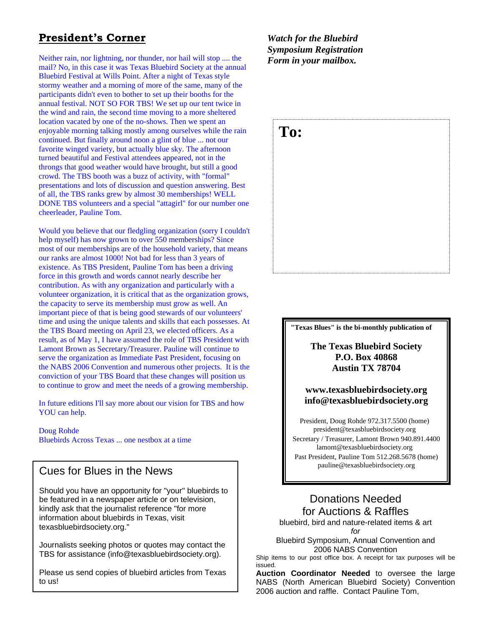# **President's Corner**

Neither rain, nor lightning, nor thunder, nor hail will stop .... the mail? No, in this case it was Texas Bluebird Society at the annual Bluebird Festival at Wills Point. After a night of Texas style stormy weather and a morning of more of the same, many of the participants didn't even to bother to set up their booths for the annual festival. NOT SO FOR TBS! We set up our tent twice in the wind and rain, the second time moving to a more sheltered location vacated by one of the no-shows. Then we spent an enjoyable morning talking mostly among ourselves while the rain continued. But finally around noon a glint of blue ... not our favorite winged variety, but actually blue sky. The afternoon turned beautiful and Festival attendees appeared, not in the throngs that good weather would have brought, but still a good crowd. The TBS booth was a buzz of activity, with "formal" presentations and lots of discussion and question answering. Best of all, the TBS ranks grew by almost 30 memberships! WELL DONE TBS volunteers and a special "attagirl" for our number one cheerleader, Pauline Tom.

Would you believe that our fledgling organization (sorry I couldn't help myself) has now grown to over 550 memberships? Since most of our memberships are of the household variety, that means our ranks are almost 1000! Not bad for less than 3 years of existence. As TBS President, Pauline Tom has been a driving force in this growth and words cannot nearly describe her contribution. As with any organization and particularly with a volunteer organization, it is critical that as the organization grows, the capacity to serve its membership must grow as well. An important piece of that is being good stewards of our volunteers' time and using the unique talents and skills that each possesses. At the TBS Board meeting on April 23, we elected officers. As a result, as of May 1, I have assumed the role of TBS President with Lamont Brown as Secretary/Treasurer. Pauline will continue to serve the organization as Immediate Past President, focusing on the NABS 2006 Convention and numerous other projects. It is the conviction of your TBS Board that these changes will position us to continue to grow and meet the needs of a growing membership.

In future editions I'll say more about our vision for TBS and how YOU can help.

#### Doug Rohde

Bluebirds Across Texas ... one nestbox at a time

# pauline@texasbluebirdsociety.org Cues for Blues in the News

Should you have an opportunity for "your" bluebirds to be featured in a newspaper article or on television, kindly ask that the journalist reference "for more information about bluebirds in Texas, visit texasbluebirdsociety.org."

Journalists seeking photos or quotes may contact the TBS for assistance (info@texasbluebirdsociety.org).

Please us send copies of bluebird articles from Texas to us!

*Watch for the Bluebird Symposium Registration Form in your mailbox.* 

# **To:**

#### **"Texas Blues" is the bi-monthly publication of**

**The Texas Bluebird Society P.O. Box 40868 Austin TX 78704** 

#### **www.texasbluebirdsociety.org info@texasbluebirdsociety.org**

President, Doug Rohde 972.317.5500 (home) president@texasbluebirdsociety.org Secretary / Treasurer, Lamont Brown 940.891.4400 lamont@texasbluebirdsociety.org Past President, Pauline Tom 512.268.5678 (home)

# Donations Needed for Auctions & Raffles

bluebird, bird and nature-related items & art *for* 

Bluebird Symposium, Annual Convention and 2006 NABS Convention

Ship items to our post office box. A receipt for tax purposes will be issued.

**Auction Coordinator Needed** to oversee the large NABS (North American Bluebird Society) Convention 2006 auction and raffle. Contact Pauline Tom,